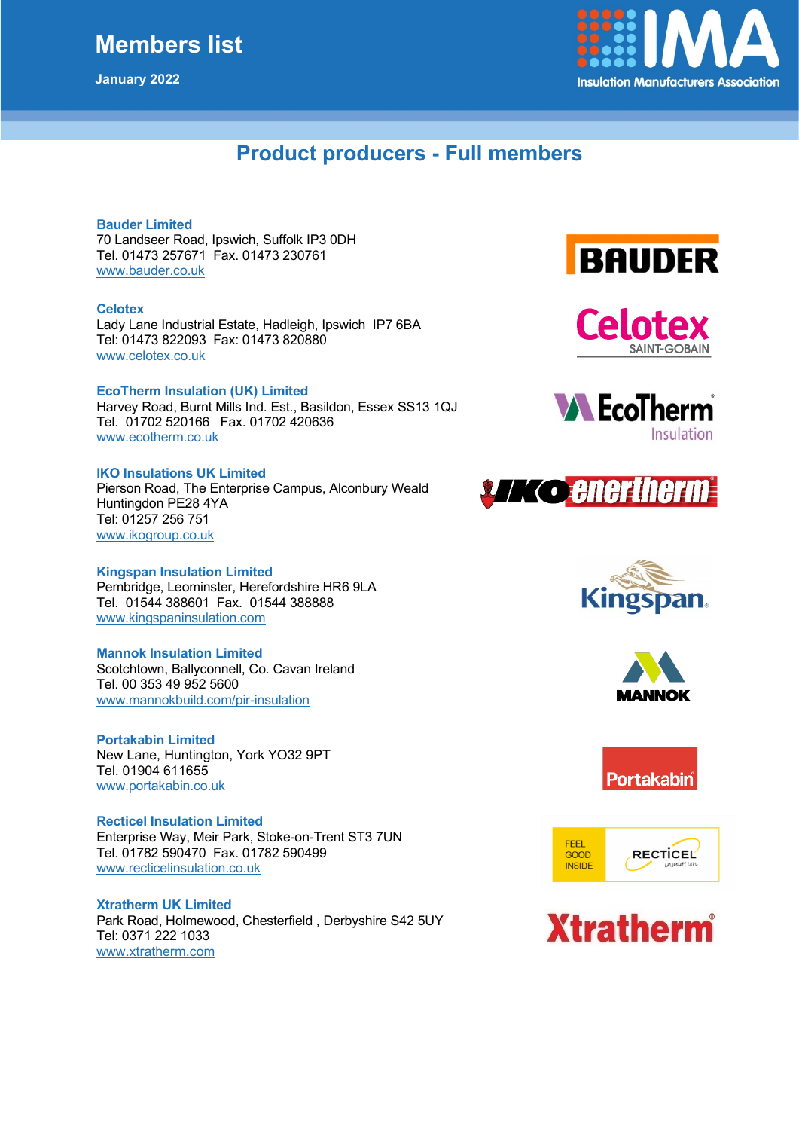## **Members list**

**January 2022**



## **Product producers - Full members**

#### **Bauder Limited**

70 Landseer Road, Ipswich, Suffolk IP3 0DH Tel. 01473 257671 Fax. 01473 230761 [www.bauder.co.uk](http://www.bauder.co.uk/)

#### **Celotex**

Lady Lane Industrial Estate, Hadleigh, Ipswich IP7 6BA Tel: 01473 822093 Fax: 01473 820880 [www.celotex.co.uk](http://www.celotex.co.uk/)

#### **EcoTherm Insulation (UK) Limited**

Harvey Road, Burnt Mills Ind. Est., Basildon, Essex SS13 1QJ Tel. 01702 520166 Fax. 01702 420636 www.ecotherm.co.uk

#### **IKO Insulations UK Limited**

Pierson Road, The Enterprise Campus, Alconbury Weald Huntingdon PE28 4YA Tel: 01257 256 751 [www.ikogroup.co.uk](http://www.ikogroup.co.uk/)

#### **Kingspan Insulation Limited**

Pembridge, Leominster, Herefordshire HR6 9LA Tel. 01544 388601 Fax. 01544 388888 [www.kingspaninsulation.com](http://www.kingspaninsulation.com/)

#### **Mannok Insulation Limited**

Scotchtown, Ballyconnell, Co. Cavan Ireland Tel. 00 353 49 952 5600 [www.mannokbuild.com/pir-insulation](http://www.mannokbuild.com/pir-insulatio#n)

**Portakabin Limited** New Lane, Huntington, York YO32 9PT Tel. 01904 611655 [www.portakabin.co.uk](http://www.portakabin.co.uk/)

**Recticel Insulation Limited** Enterprise Way, Meir Park, Stoke-on-Trent ST3 7UN Tel. 01782 590470 Fax. 01782 590499 [www.recticelinsulation.co.uk](http://www.recticelinsulation.co.uk/)

**Xtratherm UK Limited** Park Road, Holmewood, Chesterfield , Derbyshire S42 5UY Tel: 0371 222 1033 [www.xtratherm.com](http://www.xtratherm.com/)

















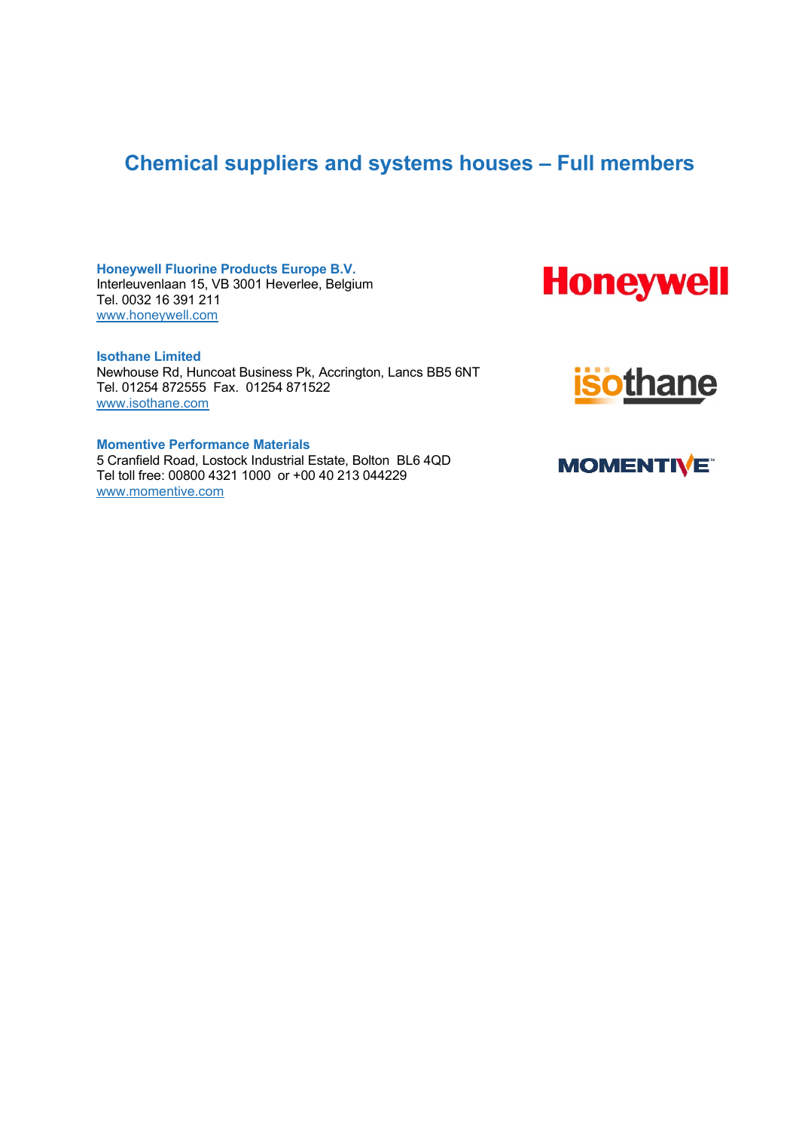## **Chemical suppliers and systems houses – Full members**

**Honeywell Fluorine Products Europe B.V.** Interleuvenlaan 15, VB 3001 Heverlee, Belgium Tel. 0032 16 391 211 [www.honeywell.com](http://www.honeywell.com/)

**Isothane Limited** Newhouse Rd, Huncoat Business Pk, Accrington, Lancs BB5 6NT Tel. 01254 872555 Fax. 01254 871522 [www.isothane.com](http://www.isothane.com/)

**Momentive Performance Materials** 5 Cranfield Road, Lostock Industrial Estate, Bolton BL6 4QD Tel toll free: 00800 4321 1000 or +00 40 213 044229 ww[w.momentive.com](http://www.momentive.com/)





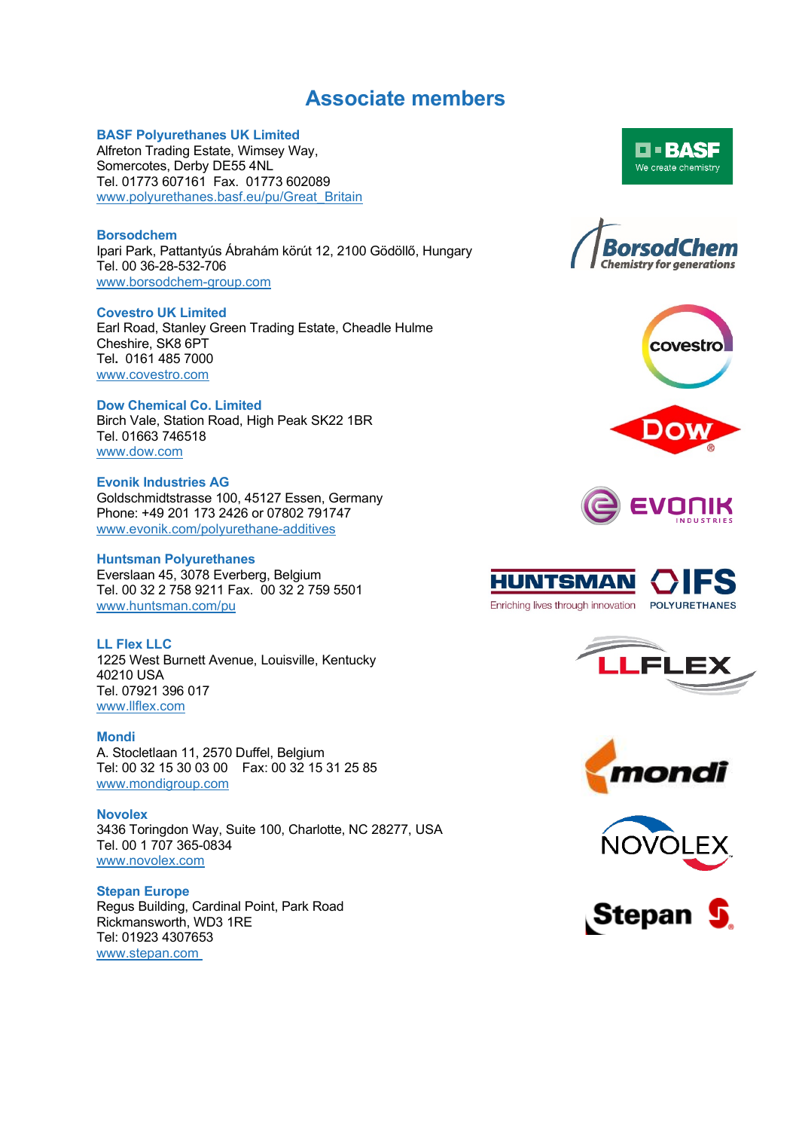### **Associate members**

#### **BASF Polyurethanes UK Limited**

Alfreton Trading Estate, Wimsey Way, Somercotes, Derby DE55 4NL Tel. 01773 607161 Fax. 01773 602089 www.polyurethanes.basf.eu/pu/Great\_Britain

#### **Borsodchem**

Ipari Park, Pattantyús Ábrahám körút 12, 2100 Gödöllő, Hungary Tel. 00 36-28-532-706 [www.borsodchem-group.com](http://www.borsodchem-group.com/)

#### **Covestro UK Limited**

Earl Road, Stanley Green Trading Estate, Cheadle Hulme Cheshire, SK8 6PT Tel**.** 0161 485 7000 [www.covestro.com](http://www.covestro.com/)

#### **Dow Chemical Co. Limited**

Birch Vale, Station Road, High Peak SK22 1BR Tel. 01663 746518 [www.dow.com](http://www.dow.com/)

#### **Evonik Industries AG**

Goldschmidtstrasse 100, 45127 Essen, Germany Phone: +49 201 173 2426 or 07802 791747 [www.evonik.com/polyurethane-additives](http://www.evonik.com/polyurethane-additives)

#### **Huntsman Polyurethanes**

Everslaan 45, 3078 Everberg, Belgium Tel. 00 32 2 758 9211 Fax. 00 32 2 759 5501 www.huntsman.com/pu

#### **LL Flex LLC**

1225 West Burnett Avenue, Louisville, Kentucky 40210 USA Tel. 07921 396 017 [www.llflex.com](http://www.llflex.com/)

#### **Mondi**

A. Stocletlaan 11, 2570 Duffel, Belgium Tel: 00 32 15 30 03 00 Fax: 00 32 15 31 25 85 [www.mondigroup.com](http://www.mondigroup.com/)

**Novolex** 3436 Toringdon Way, Suite 100, Charlotte, NC 28277, USA Tel. 00 1 707 365-0834 [www.novolex.com](http://www.novolex.com/)

#### **Stepan Europe** Regus Building, Cardinal Point, Park Road Rickmansworth, WD3 1RE Tel: 01923 4307653 www.stepan.com